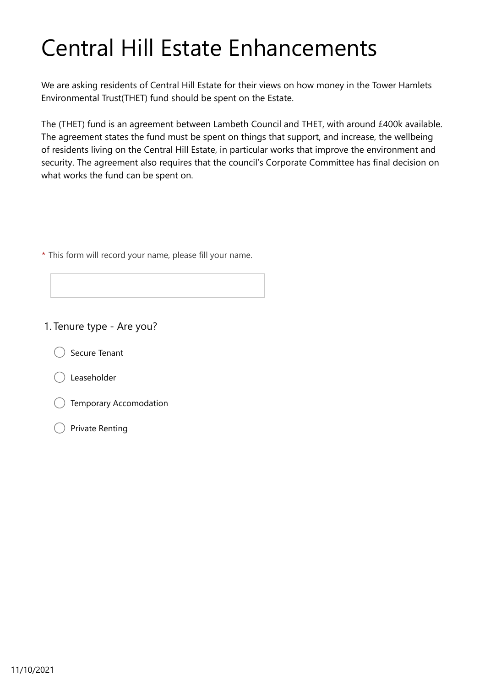# Central Hill Estate Enhancements

We are asking residents of Central Hill Estate for their views on how money in the Tower Hamlets Environmental Trust(THET) fund should be spent on the Estate.

The (THET) fund is an agreement between Lambeth Council and THET, with around £400k available. The agreement states the fund must be spent on things that support, and increase, the wellbeing of residents living on the Central Hill Estate, in particular works that improve the environment and security. The agreement also requires that the council's Corporate Committee has final decision on what works the fund can be spent on.

\* This form will record your name, please fill your name.

#### 1. Tenure type - Are you?

Secure Tenant



- Temporary Accomodation
- Private Renting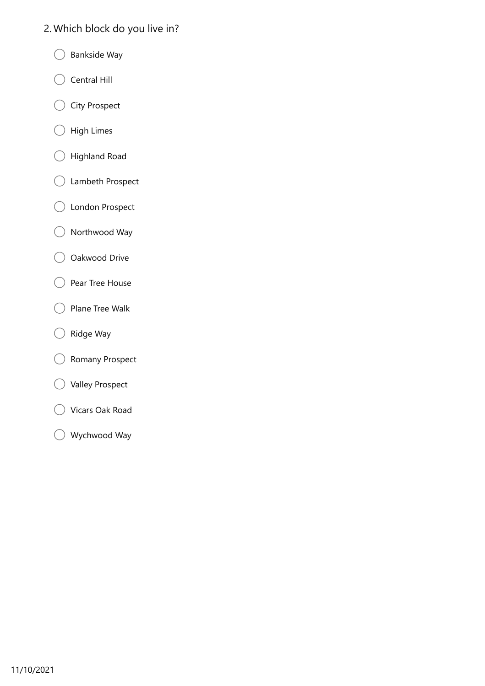## 2. Which block do you live in?

- Bankside Way  $\bigcap$
- Central Hill €  $\mathcal{E}$
- C City Prospect
- High Limes  $( )$
- Highland Road  $\left(\begin{array}{c}\right)$
- Lambeth Prospect (
- London Prospect
- Northwood Way  $\bigcirc$
- Oakwood Drive ( -1
- Pear Tree House €  $\rightarrow$
- Plane Tree Walk €  $\rightarrow$
- $\bigcirc$  Ridge Way
- Romany Prospect €
- Valley Prospect
- Vicars Oak Road
- Wychwood Way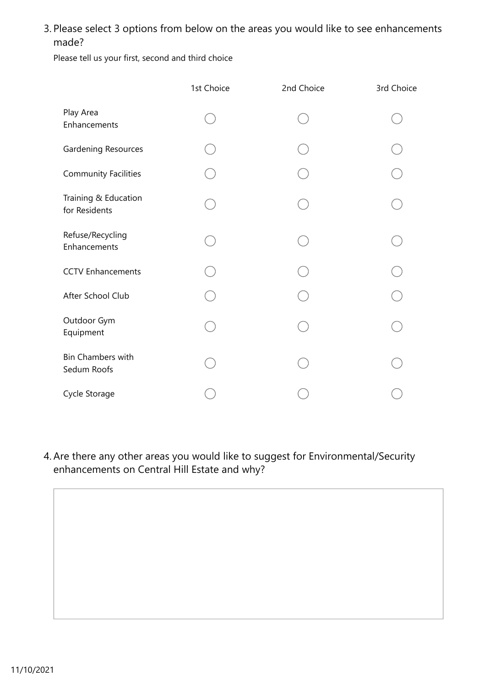### 3. Please select 3 options from below on the areas you would like to see enhancements made?

Please tell us your first, second and third choice

|                                         | 1st Choice | 2nd Choice | 3rd Choice |
|-----------------------------------------|------------|------------|------------|
| Play Area<br>Enhancements               |            |            |            |
| Gardening Resources                     |            |            |            |
| <b>Community Facilities</b>             |            |            |            |
| Training & Education<br>for Residents   |            |            |            |
| Refuse/Recycling<br>Enhancements        |            |            |            |
| <b>CCTV Enhancements</b>                |            |            |            |
| After School Club                       |            |            |            |
| Outdoor Gym<br>Equipment                |            |            |            |
| <b>Bin Chambers with</b><br>Sedum Roofs |            |            |            |
| Cycle Storage                           |            |            |            |

Are there any other areas you would like to suggest for Environmental/Security 4. enhancements on Central Hill Estate and why?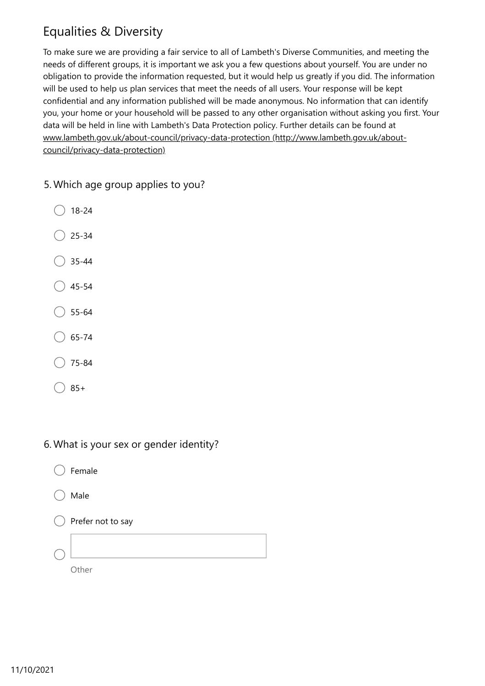# Equalities & Diversity

To make sure we are providing a fair service to all of Lambeth's Diverse Communities, and meeting the needs of different groups, it is important we ask you a few questions about yourself. You are under no obligation to provide the information requested, but it would help us greatly if you did. The information will be used to help us plan services that meet the needs of all users. Your response will be kept confidential and any information published will be made anonymous. No information that can identify you, your home or your household will be passed to any other organisation without asking you first. Your data will be held in line with Lambeth's Data Protection policy. Further details can be found at [www.lambeth.gov.uk/about-council/privacy-data-protection \(http://www.lambeth.gov.uk/about](http://www.lambeth.gov.uk/about-council/privacy-data-protection)council/privacy-data-protection)

- 5. Which age group applies to you?
	- 18-24
	- 25-34
	- 35-44
	- 45-54
	- 55-64
	- 65-74
	- 75-84
	- $)85+$
- 6. What is your sex or gender identity?
	- Female
	- Male
	- Prefer not to say
	- **Other**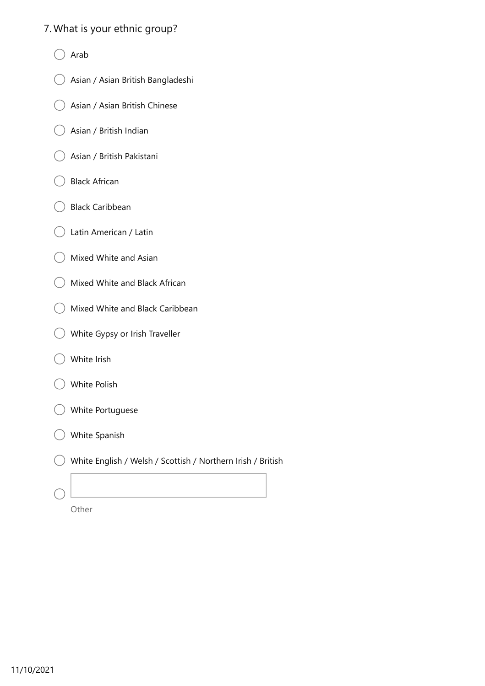#### 7. What is your ethnic group?

- Arab
- Asian / Asian British Bangladeshi
- Asian / Asian British Chinese <sup>-</sup>
- Asian / British Indian
- Asian / British Pakistani  $\rightarrow$
- Black African
- Black Caribbean  $\rightarrow$
- Latin American / Latin
- Mixed White and Asian  $\lambda$
- Mixed White and Black African
- Mixed White and Black Caribbean  $\rightarrow$
- White Gypsy or Irish Traveller
- White Irish
- White Polish
- White Portuguese
- White Spanish
- White English / Welsh / Scottish / Northern Irish / British

|               |   | ٠ |          | ٧ |
|---------------|---|---|----------|---|
| ×<br>v<br>. . | × |   | ×<br>. . |   |

 $\left(\begin{array}{c} \end{array}\right)$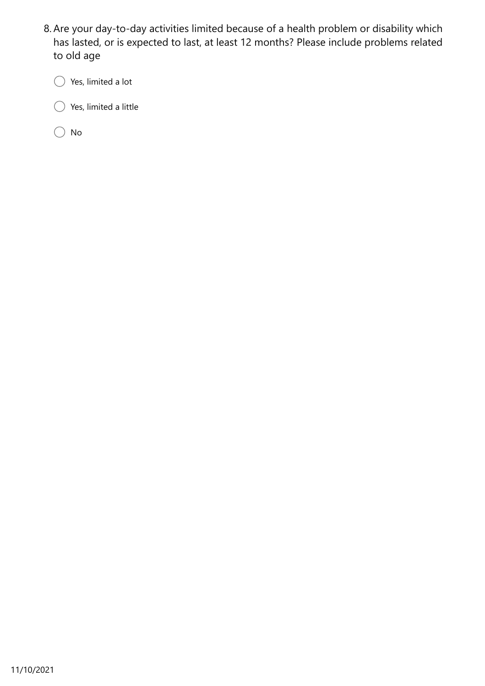8. Are your day-to-day activities limited because of a health problem or disability which has lasted, or is expected to last, at least 12 months? Please include problems related to old age

Yes, limited a lot  $\bigcap$ 

 $\bigcirc$  Yes, limited a little €.

 $\bigcirc$  No